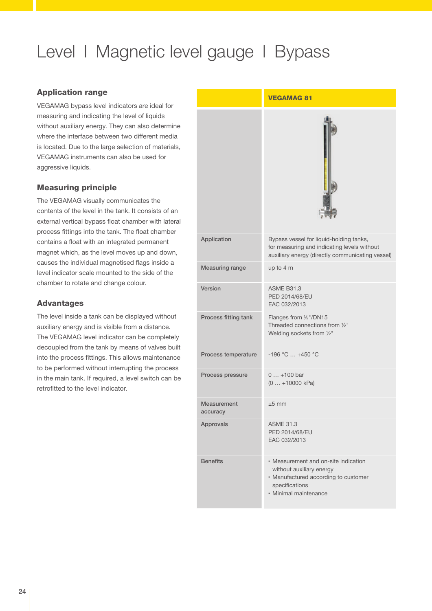# Level | Magnetic level gauge | Bypass

#### Application range

VEGAMAG bypass level indicators are ideal for measuring and indicating the level of liquids without auxiliary energy. They can also determine where the interface between two different media is located. Due to the large selection of materials, VEGAMAG instruments can also be used for aggressive liquids.

## Measuring principle

The VEGAMAG visually communicates the contents of the level in the tank. It consists of an external vertical bypass float chamber with lateral process fittings into the tank. The float chamber contains a float with an integrated permanent magnet which, as the level moves up and down, causes the individual magnetised flags inside a level indicator scale mounted to the side of the chamber to rotate and change colour.

## **Advantages**

The level inside a tank can be displayed without auxiliary energy and is visible from a distance. The VEGAMAG level indicator can be completely decoupled from the tank by means of valves built into the process fittings. This allows maintenance to be performed without interrupting the process in the main tank. If required, a level switch can be retrofitted to the level indicator.

|                         | <b>VEGAMAG 81</b>                                                                                                                                   |
|-------------------------|-----------------------------------------------------------------------------------------------------------------------------------------------------|
|                         |                                                                                                                                                     |
| Application             | Bypass vessel for liquid-holding tanks,<br>for measuring and indicating levels without<br>auxiliary energy (directly communicating vessel)          |
| Measuring range         | up to 4 m                                                                                                                                           |
| Version                 | <b>ASME B31.3</b><br>PED 2014/68/EU<br>EAC 032/2013                                                                                                 |
| Process fitting tank    | Flanges from 1/2"/DN15<br>Threaded connections from 1/2"<br>Welding sockets from 1/2"                                                               |
| Process temperature     | $-196$ °C $+450$ °C                                                                                                                                 |
| Process pressure        | $0+100$ bar<br>$(0  +10000 kPa)$                                                                                                                    |
| Measurement<br>accuracy | $\pm 5$ mm                                                                                                                                          |
| Approvals               | <b>ASME 31.3</b><br>PED 2014/68/EU<br>EAC 032/2013                                                                                                  |
| <b>Benefits</b>         | • Measurement and on-site indication<br>without auxiliary energy<br>· Manufactured according to customer<br>specifications<br>· Minimal maintenance |